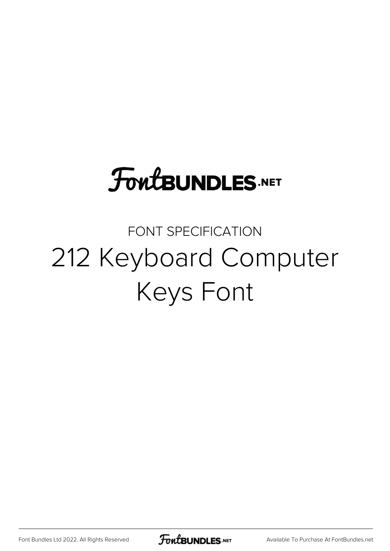# **FoutBUNDLES.NET**

## FONT SPECIFICATION 212 Keyboard Computer Keys Font

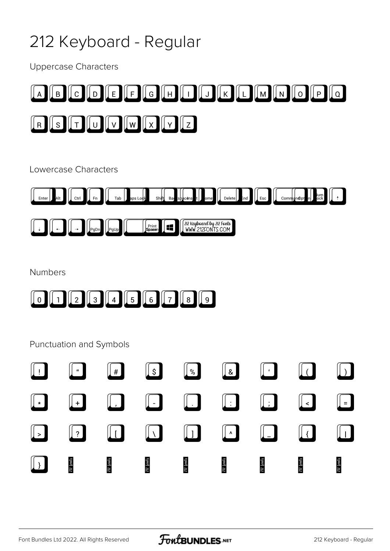## 212 Keyboard - Regular

**Uppercase Characters** 



Lowercase Characters



| п. | u | ъ. | 212<br>, Ku<br>™ ироалы.<br>ronis 1<br>Ш<br>١M<br>١N<br>w<br>ш, |
|----|---|----|-----------------------------------------------------------------|
|----|---|----|-----------------------------------------------------------------|

Numbers



#### **Punctuation and Symbols**

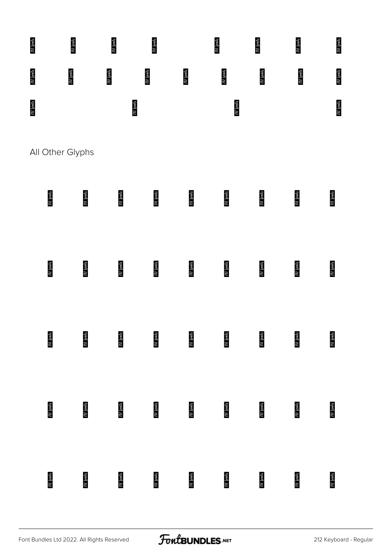

All Other Glyphs

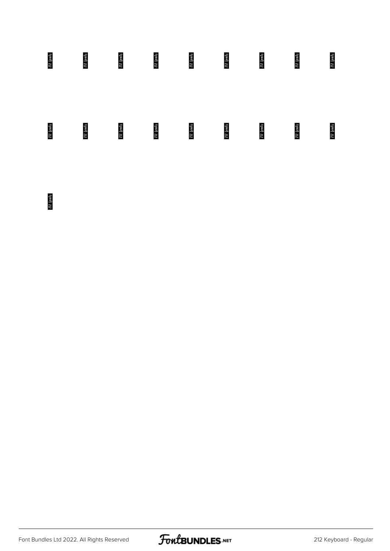

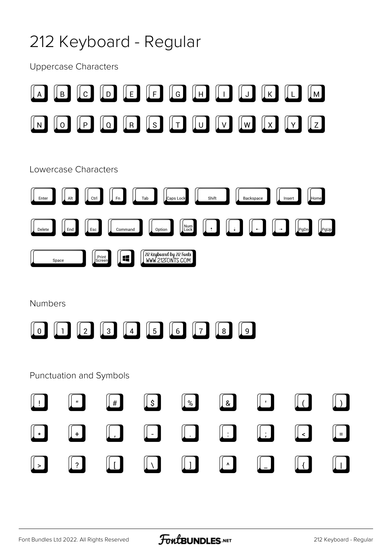## 212 Keyboard - Regular

**Uppercase Characters** 

|                                             | $\mathsf{B}$                         | $\lfloor$ C $\rfloor$ | $\parallel$ E $\parallel$<br>D     | $\parallel$ F $\parallel$                     | $\parallel$ G $\parallel$<br>   н |                                              | K                                   | $\lfloor M \rfloor$                           |              |
|---------------------------------------------|--------------------------------------|-----------------------|------------------------------------|-----------------------------------------------|-----------------------------------|----------------------------------------------|-------------------------------------|-----------------------------------------------|--------------|
| N                                           | $\overline{O}$                       | $\lceil P \rceil$     | R<br>$Q_{\parallel}$               | $\lceil S \rceil$                             | T<br>$\cup$                       | $\lfloor$ V $\rfloor$<br>$\lfloor w \rfloor$ | $\vert X \vert$                     | z <br>Y.                                      |              |
|                                             | Lowercase Characters                 |                       |                                    |                                               |                                   |                                              |                                     |                                               |              |
| Enter                                       | Alt                                  | Ctrl                  | Fn                                 | Tab                                           | Caps Lock                         | Shift                                        | Backspace                           | Home<br>Insert                                |              |
| Delete                                      | End                                  | Esc                   | Command                            | Option                                        | Num<br>Lock                       | $\uparrow$                                   |                                     | <u> </u> PgDn                                 | $[$ PgUp $]$ |
|                                             | Space                                | Print<br>Screen       | $\blacksquare$                     | 212 Keyboard by 212 Fonts<br>WWW.212FONTS.COM |                                   |                                              |                                     |                                               |              |
| <b>Numbers</b>                              |                                      |                       |                                    |                                               |                                   |                                              |                                     |                                               |              |
| $\mathbf 0$                                 |                                      | $2 \mid$              | $\left[4\right]$<br>3 <sub>3</sub> | $\lfloor 5 \rfloor$                           | $\lfloor 6 \rfloor$<br>$7 \mid$   | $\lfloor 8 \rfloor$                          | $\overline{\mathsf{L}}$             |                                               |              |
|                                             | Punctuation and Symbols              |                       |                                    |                                               |                                   |                                              |                                     |                                               |              |
| $\begin{bmatrix} \phantom{-} \end{bmatrix}$ | "                                    |                       | $\downarrow \#$                    | $\mathbb{L}$                                  | $\sqrt{2}$                        | $\sqrt{2}$                                   | $\begin{bmatrix} 1 \end{bmatrix}$   | $\Box$                                        | $\Box$       |
| $\left\  \cdot \right\ $                    | $\begin{bmatrix} \bot \end{bmatrix}$ |                       | $\left\  \cdot \right\ $           | $\Box$                                        | $\lfloor . \rfloor$               | $\lfloor \_ \rfloor$                         | $\left[\!\left[.\!\right]\!\right]$ | $\Box$                                        | $\vert$ =    |
| $\mathbb{L}$                                | $\left\lfloor  \right\rfloor$        |                       | $\mathbf{L}$                       | $\lfloor \cdot \rfloor$                       | $\begin{bmatrix} 1 \end{bmatrix}$ | $\begin{bmatrix} \bullet \\ \end{bmatrix}$   | $\lfloor \rfloor$                   | $\left  \begin{array}{c} \end{array} \right $ | $\perp$      |
|                                             |                                      |                       |                                    |                                               |                                   |                                              |                                     |                                               |              |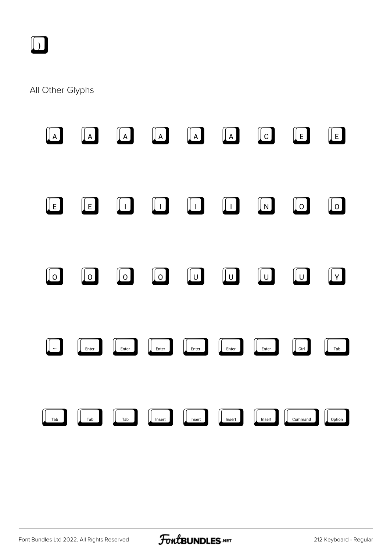

#### All Other Glyphs